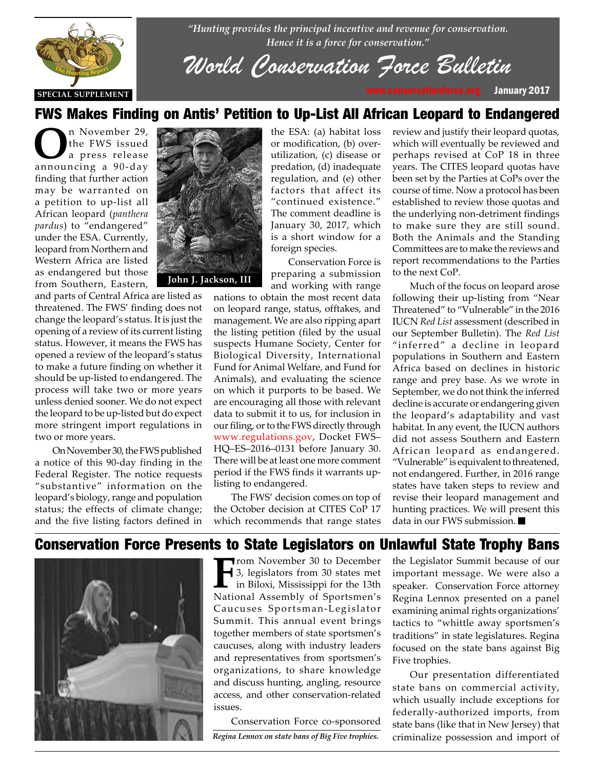

*"Hunting provides the principal incentive and revenue for conservation. Hence it is a force for conservation."*

# *World Conservation Force Bulletin*

### FWS Makes Finding on Antis' Petition to Up-List All African Leopard to Endangered

**O**n November 29,<br>
the FWS issued<br>
a press release the FWS issued announcing a 90-day finding that further action may be warranted on a petition to up-list all African leopard (*panthera pardus*) to "endangered" under the ESA. Currently, leopard from Northern and Western Africa are listed as endangered but those from Southern, Eastern,

and parts of Central Africa are listed as threatened. The FWS' finding does not change the leopard's status. It is just the change the leopard s status. It is just the<br>opening of a review of its current listing status. However, it means the FWS has opened a review of the leopard's status to make a future finding on whether it to make a future finding on whether it<br>should be up-listed to endangered. The process will take two or more years unless denied sooner. We do not expect the leopard to be up-listed but do expect more stringent import regulations in two or more years.

> On November 30, the FWS published a notice of this 90-day finding in the Federal Register. The notice requests "substantive" information on the leopard's biology, range and population status; the effects of climate change; and the five listing factors defined in



**John J. Jackson, III**

the ESA: (a) habitat loss or modification, (b) overutilization, (c) disease or predation, (d) inadequate regulation, and (e) other factors that affect its "continued existence." The comment deadline is January 30, 2017, which is a short window for a foreign species.

Conservation Force is preparing a submission and working with range

nations to obtain the most recent data on leopard range, status, offtakes, and management. We are also ripping apart the listing petition (filed by the usual suspects Humane Society, Center for Biological Diversity, International Fund for Animal Welfare, and Fund for Animals), and evaluating the science on which it purports to be based. We are encouraging all those with relevant data to submit it to us, for inclusion in our filing, or to the FWS directly through www.regulations.gov, Docket FWS– HQ–ES–2016–0131 before January 30. There will be at least one more comment period if the FWS finds it warrants uplisting to endangered.

The FWS' decision comes on top of the October decision at CITES CoP 17 which recommends that range states review and justify their leopard quotas, which will eventually be reviewed and perhaps revised at CoP 18 in three years. The CITES leopard quotas have been set by the Parties at CoPs over the course of time. Now a protocol has been established to review those quotas and the underlying non-detriment findings to make sure they are still sound. Both the Animals and the Standing Committees are to make the reviews and report recommendations to the Parties to the next CoP.

Much of the focus on leopard arose following their up-listing from "Near Threatened" to "Vulnerable" in the 2016 IUCN *Red List* assessment (described in our September Bulletin). The *Red List* "inferred" a decline in leopard populations in Southern and Eastern Africa based on declines in historic range and prey base. As we wrote in September, we do not think the inferred decline is accurate or endangering given the leopard's adaptability and vast habitat. In any event, the IUCN authors did not assess Southern and Eastern African leopard as endangered. "Vulnerable" is equivalent to threatened, not endangered. Further, in 2016 range states have taken steps to review and revise their leopard management and hunting practices. We will present this data in our FWS submission.

### Conservation Force Presents to State Legislators on Unlawful State Trophy Bans



**From November 30 to December**<br> **F** 3, legislators from 30 states met<br>
in Biloxi, Mississippi for the 13th<br> **National Assembly of Sportsman's** 3, legislators from 30 states met National Assembly of Sportsmen's Caucuses Sportsman-Legislator Summit. This annual event brings together members of state sportsmen's caucuses, along with industry leaders and representatives from sportsmen's organizations, to share knowledge and discuss hunting, angling, resource access, and other conservation-related issues.

Conservation Force co-sponsored

the Legislator Summit because of our important message. We were also a speaker. Conservation Force attorney Regina Lennox presented on a panel examining animal rights organizations' tactics to "whittle away sportsmen's traditions" in state legislatures. Regina focused on the state bans against Big Five trophies.

Our presentation differentiated state bans on commercial activity, which usually include exceptions for federally-authorized imports, from state bans (like that in New Jersey) that *Regina Lennox on state bans of Big Five trophies.* criminalize possession and import of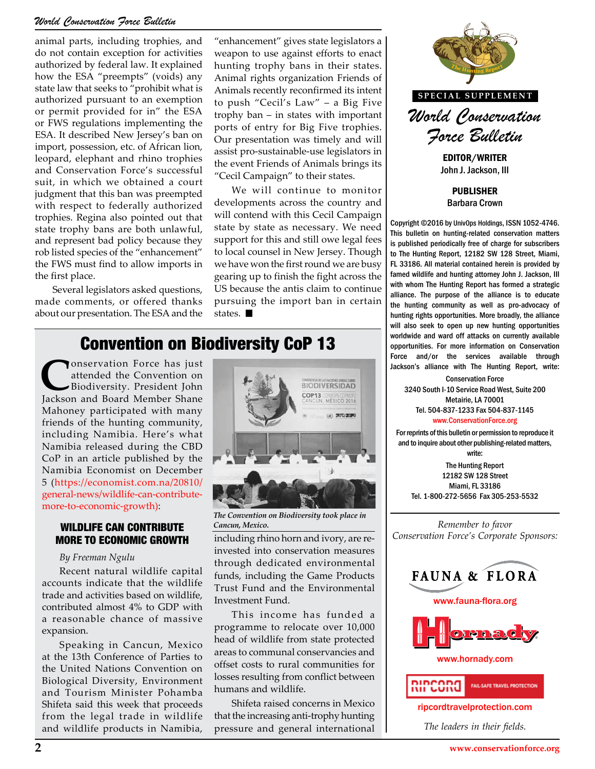#### *World Conservation Force Bulletin*

animal parts, including trophies, and do not contain exception for activities authorized by federal law. It explained how the ESA "preempts" (voids) any state law that seeks to "prohibit what is authorized pursuant to an exemption or permit provided for in" the ESA or FWS regulations implementing the ESA. It described New Jersey's ban on import, possession, etc. of African lion, leopard, elephant and rhino trophies and Conservation Force's successful suit, in which we obtained a court judgment that this ban was preempted with respect to federally authorized trophies. Regina also pointed out that state trophy bans are both unlawful, and represent bad policy because they rob listed species of the "enhancement" the FWS must find to allow imports in the first place.

Several legislators asked questions, made comments, or offered thanks about our presentation. The ESA and the "enhancement" gives state legislators a weapon to use against efforts to enact hunting trophy bans in their states. Animal rights organization Friends of Animals recently reconfirmed its intent to push "Cecil's Law" – a Big Five trophy ban – in states with important ports of entry for Big Five trophies. Our presentation was timely and will assist pro-sustainable-use legislators in the event Friends of Animals brings its "Cecil Campaign" to their states.

We will continue to monitor developments across the country and will contend with this Cecil Campaign state by state as necessary. We need support for this and still owe legal fees to local counsel in New Jersey. Though we have won the first round we are busy gearing up to finish the fight across the US because the antis claim to continue pursuing the import ban in certain states.

### Convention on Biodiversity CoP 13

**C**onservation Force has just<br>attended the Convention on<br>Biodiversity. President John attended the Convention on Biodiversity. President John Jackson and Board Member Shane Mahoney participated with many friends of the hunting community, including Namibia. Here's what Namibia released during the CBD CoP in an article published by the Namibia Economist on December 5 (https://economist.com.na/20810/ general-news/wildlife-can-contributemore-to-economic-growth):

#### WILDLIFE CAN CONTRIBUTE MORE TO ECONOMIC GROWTH

#### *By Freeman Ngulu*

Recent natural wildlife capital accounts indicate that the wildlife trade and activities based on wildlife, contributed almost 4% to GDP with a reasonable chance of massive expansion.

Speaking in Cancun, Mexico at the 13th Conference of Parties to the United Nations Convention on Biological Diversity, Environment and Tourism Minister Pohamba Shifeta said this week that proceeds from the legal trade in wildlife and wildlife products in Namibia,



*The Convention on Biodiversity took place in Cancun, Mexico.*

including rhino horn and ivory, are reinvested into conservation measures through dedicated environmental funds, including the Game Products Trust Fund and the Environmental Investment Fund.

This income has funded a programme to relocate over 10,000 head of wildlife from state protected areas to communal conservancies and offset costs to rural communities for losses resulting from conflict between humans and wildlife.

Shifeta raised concerns in Mexico that the increasing anti-trophy hunting pressure and general international



John J. Jackson, III

PUBLISHER Barbara Crown

Copyright ©2016 by UnivOps Holdings, ISSN 1052-4746. This bulletin on hunting-related conservation matters is published periodically free of charge for subscribers to The Hunting Report, 12182 SW 128 Street, Miami, FL 33186. All material contained herein is provided by famed wildlife and hunting attorney John J. Jackson, III with whom The Hunting Report has formed a strategic alliance. The purpose of the alliance is to educate the hunting community as well as pro-advocacy of hunting rights opportunities. More broadly, the alliance<br>will also seek to open up new hunting opportunities will also seek to open up new hunting opportunities worldwide and ward off attacks on currently available opportunities. For more information on Conservation Force and/or the services available through **THE THE THE TEST CONSIDER THE REPORT OF SERVICES** AVAILAble through Jackson's alliance with The Hunting Report, write:

> Conservation Force 3240 South I-10 Service Road West, Suite 200 Metairie, LA 70001 Tel. 504-837-1233 Fax 504-837-1145 www.ConservationForce.org

For reprints of this bulletin or permission to reproduce it and to inquire about other publishing-related matters, write:

The Hunting Report 12182 SW 128 Street Miami, FL 33186 Tel. 1-800-272-5656 Fax 305-253-5532

*Remember to favor Conservation Force's Corporate Sponsors:*







www.hornady.com



ripcordtravelprotection.com

*The leaders in their fields.*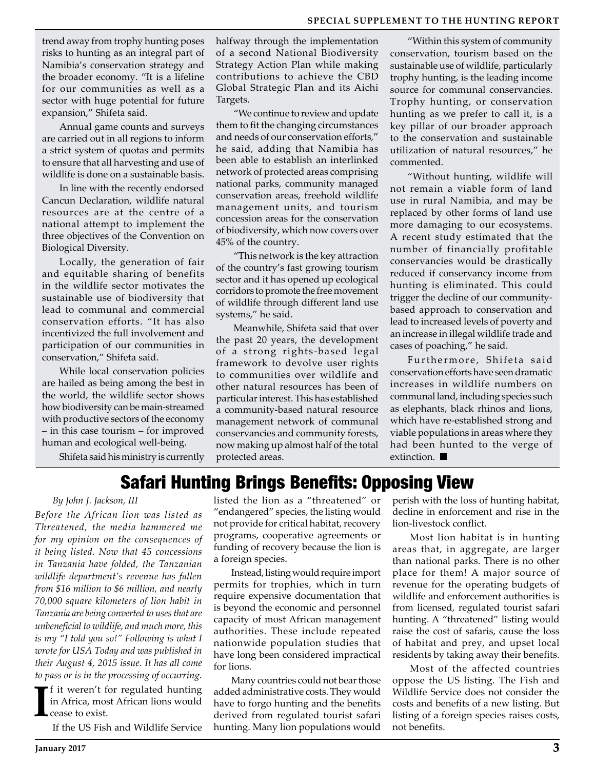trend away from trophy hunting poses risks to hunting as an integral part of Namibia's conservation strategy and the broader economy. "It is a lifeline for our communities as well as a sector with huge potential for future expansion," Shifeta said.

Annual game counts and surveys are carried out in all regions to inform a strict system of quotas and permits to ensure that all harvesting and use of wildlife is done on a sustainable basis.

In line with the recently endorsed Cancun Declaration, wildlife natural resources are at the centre of a national attempt to implement the three objectives of the Convention on Biological Diversity.

Locally, the generation of fair and equitable sharing of benefits in the wildlife sector motivates the sustainable use of biodiversity that lead to communal and commercial conservation efforts. "It has also incentivized the full involvement and participation of our communities in conservation," Shifeta said.

While local conservation policies are hailed as being among the best in the world, the wildlife sector shows how biodiversity can be main-streamed with productive sectors of the economy – in this case tourism – for improved human and ecological well-being.

halfway through the implementation of a second National Biodiversity Strategy Action Plan while making contributions to achieve the CBD Global Strategic Plan and its Aichi Targets.

"We continue to review and update them to fit the changing circumstances and needs of our conservation efforts," he said, adding that Namibia has been able to establish an interlinked network of protected areas comprising national parks, community managed conservation areas, freehold wildlife management units, and tourism concession areas for the conservation of biodiversity, which now covers over 45% of the country.

"This network is the key attraction of the country's fast growing tourism sector and it has opened up ecological corridors to promote the free movement of wildlife through different land use systems," he said.

Meanwhile, Shifeta said that over the past 20 years, the development of a strong rights-based legal framework to devolve user rights to communities over wildlife and other natural resources has been of particular interest. This has established a community-based natural resource management network of communal conservancies and community forests, now making up almost half of the total protected areas.

"Within this system of community conservation, tourism based on the sustainable use of wildlife, particularly trophy hunting, is the leading income source for communal conservancies. Trophy hunting, or conservation hunting as we prefer to call it, is a key pillar of our broader approach to the conservation and sustainable utilization of natural resources," he commented.

"Without hunting, wildlife will not remain a viable form of land use in rural Namibia, and may be replaced by other forms of land use more damaging to our ecosystems. A recent study estimated that the number of financially profitable conservancies would be drastically reduced if conservancy income from hunting is eliminated. This could trigger the decline of our communitybased approach to conservation and lead to increased levels of poverty and an increase in illegal wildlife trade and cases of poaching," he said.

Furthermore, Shifeta said conservation efforts have seen dramatic increases in wildlife numbers on communal land, including species such as elephants, black rhinos and lions, which have re-established strong and viable populations in areas where they had been hunted to the verge of extinction.

Shifeta said his ministry is currently

## Safari Hunting Brings Benefits: Opposing View

#### *By John J. Jackson, III*

*Before the African lion was listed as Threatened, the media hammered me for my opinion on the consequences of it being listed. Now that 45 concessions in Tanzania have folded, the Tanzanian wildlife department's revenue has fallen from \$16 million to \$6 million, and nearly 70,000 square kilometers of lion habit in Tanzania are being converted to uses that are unbeneficial to wildlife, and much more, this is my "I told you so!" Following is what I wrote for USA Today and was published in their August 4, 2015 issue. It has all come to pass or is in the processing of occurring.*

**I**  $\mathsf{F}$ f it weren't for regulated hunting in Africa, most African lions would cease to exist.

If the US Fish and Wildlife Service

listed the lion as a "threatened" or "endangered" species, the listing would not provide for critical habitat, recovery programs, cooperative agreements or funding of recovery because the lion is a foreign species.

Instead, listing would require import permits for trophies, which in turn require expensive documentation that is beyond the economic and personnel capacity of most African management authorities. These include repeated nationwide population studies that have long been considered impractical for lions.

Many countries could not bear those added administrative costs. They would have to forgo hunting and the benefits derived from regulated tourist safari hunting. Many lion populations would

perish with the loss of hunting habitat, decline in enforcement and rise in the lion-livestock conflict.

Most lion habitat is in hunting areas that, in aggregate, are larger than national parks. There is no other place for them! A major source of revenue for the operating budgets of wildlife and enforcement authorities is from licensed, regulated tourist safari hunting. A "threatened" listing would raise the cost of safaris, cause the loss of habitat and prey, and upset local residents by taking away their benefits.

Most of the affected countries oppose the US listing. The Fish and Wildlife Service does not consider the costs and benefits of a new listing. But listing of a foreign species raises costs, not benefits.